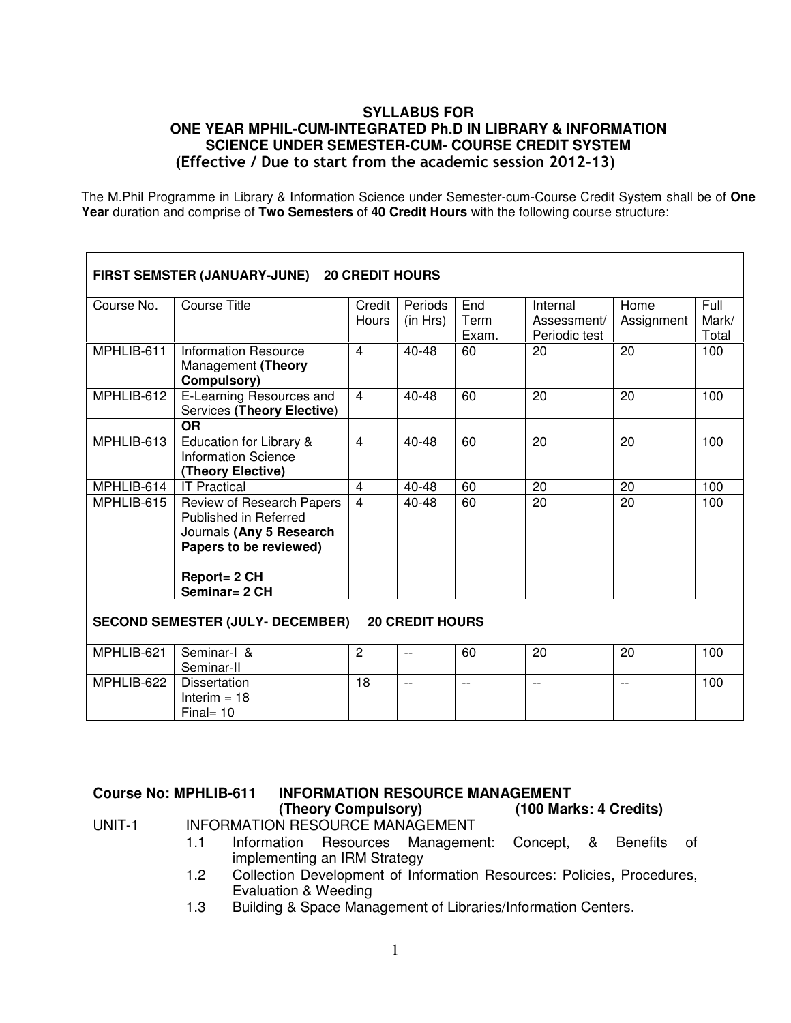#### **SYLLABUS FOR ONE YEAR MPHIL-CUM-INTEGRATED Ph.D IN LIBRARY & INFORMATION SCIENCE UNDER SEMESTER-CUM- COURSE CREDIT SYSTEM**  (Effective / Due to start from the academic session 2012-13)

The M.Phil Programme in Library & Information Science under Semester-cum-Course Credit System shall be of **One Year** duration and comprise of **Two Semesters** of **40 Credit Hours** with the following course structure:

| FIRST SEMSTER (JANUARY-JUNE) 20 CREDIT HOURS                      |                                                                                                                          |                 |                     |                      |                                          |                    |                        |  |  |
|-------------------------------------------------------------------|--------------------------------------------------------------------------------------------------------------------------|-----------------|---------------------|----------------------|------------------------------------------|--------------------|------------------------|--|--|
| Course No.                                                        | <b>Course Title</b>                                                                                                      | Credit<br>Hours | Periods<br>(in Hrs) | End<br>Term<br>Exam. | Internal<br>Assessment/<br>Periodic test | Home<br>Assignment | Full<br>Mark/<br>Total |  |  |
| MPHLIB-611                                                        | <b>Information Resource</b><br>Management (Theory<br>Compulsory)                                                         | $\overline{4}$  | 40-48               | 60                   | 20                                       | 20                 | 100                    |  |  |
| MPHLIB-612                                                        | E-Learning Resources and<br>Services (Theory Elective)<br><b>OR</b>                                                      | $\overline{4}$  | 40-48               | 60                   | 20                                       | 20                 | 100                    |  |  |
| MPHLIB-613                                                        | Education for Library &<br>Information Science<br>(Theory Elective)                                                      | $\overline{4}$  | 40-48               | 60                   | 20                                       | 20                 | 100                    |  |  |
| MPHLIB-614                                                        | <b>IT Practical</b>                                                                                                      | $\overline{4}$  | 40-48               | 60                   | 20                                       | 20                 | 100                    |  |  |
| MPHLIB-615                                                        | Review of Research Papers<br>Published in Referred<br>Journals (Any 5 Research<br>Papers to be reviewed)<br>Report= 2 CH | $\overline{4}$  | 40-48               | 60                   | 20                                       | 20                 | 100                    |  |  |
|                                                                   | Seminar= 2 CH                                                                                                            |                 |                     |                      |                                          |                    |                        |  |  |
| <b>SECOND SEMESTER (JULY- DECEMBER)</b><br><b>20 CREDIT HOURS</b> |                                                                                                                          |                 |                     |                      |                                          |                    |                        |  |  |
| MPHLIB-621                                                        | Seminar-I &<br>Seminar-II                                                                                                | $\overline{2}$  | $-$                 | 60                   | 20                                       | 20                 | 100                    |  |  |
| MPHLIB-622                                                        | <b>Dissertation</b><br>Interim $= 18$<br>$Final = 10$                                                                    | 18              | $-$                 | $-$                  | $- -$                                    | $-$                | 100                    |  |  |

#### Course No: MPHLIB-611 INFORMATION RESOURCE MANAGEMENT<br>Theory Compulsory) (100 Mar) **(Theory Compulsory) (100 Marks: 4 Credits)**  UNIT-1 INFORMATION RESOURCE MANAGEMENT

- 1.1 Information Resources Management: Concept, & Benefits of implementing an IRM Strategy
- 1.2 Collection Development of Information Resources: Policies, Procedures, Evaluation & Weeding
- 1.3 Building & Space Management of Libraries/Information Centers.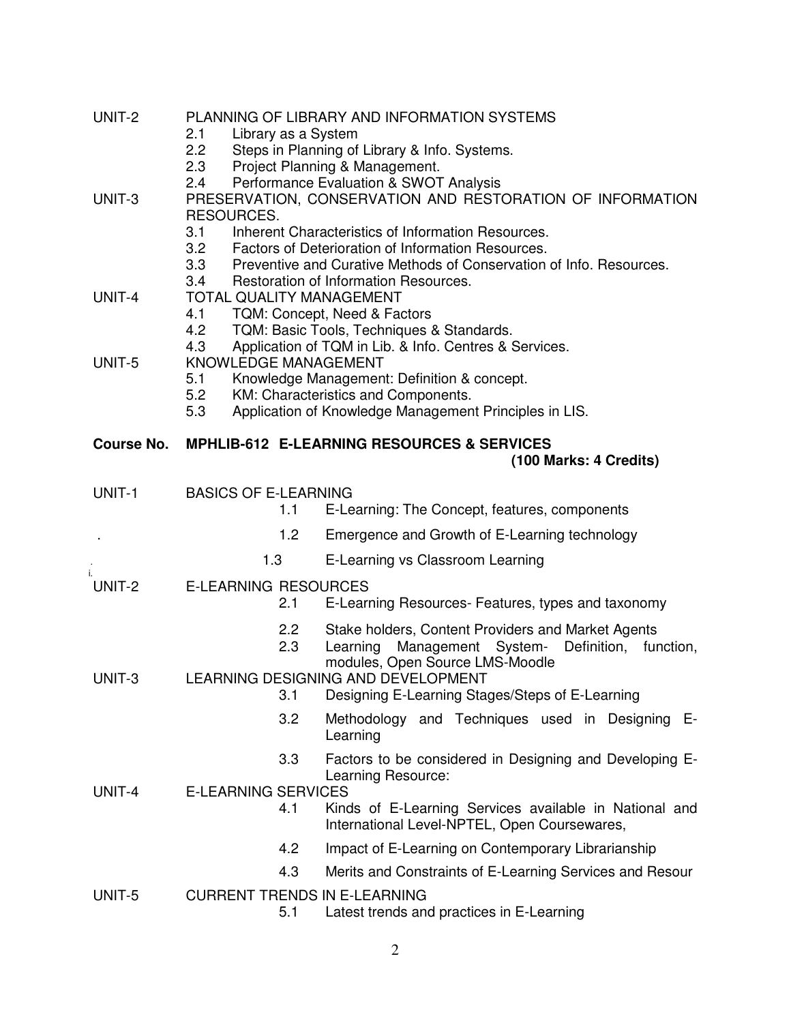| UNIT-2            | PLANNING OF LIBRARY AND INFORMATION SYSTEMS<br>2.1<br>Library as a System<br>$2.2\overline{ }$<br>Steps in Planning of Library & Info. Systems.<br>2.3<br>Project Planning & Management.                                                                                                                                                                                         |                                                                                                                                                                                           |  |  |  |  |  |
|-------------------|----------------------------------------------------------------------------------------------------------------------------------------------------------------------------------------------------------------------------------------------------------------------------------------------------------------------------------------------------------------------------------|-------------------------------------------------------------------------------------------------------------------------------------------------------------------------------------------|--|--|--|--|--|
| UNIT-3            | Performance Evaluation & SWOT Analysis<br>2.4<br>PRESERVATION, CONSERVATION AND RESTORATION OF INFORMATION<br>RESOURCES.<br>3.1<br>Inherent Characteristics of Information Resources.<br>3.2<br>Factors of Deterioration of Information Resources.<br>3.3<br>Preventive and Curative Methods of Conservation of Info. Resources.<br>3.4<br>Restoration of Information Resources. |                                                                                                                                                                                           |  |  |  |  |  |
| UNIT-4            | <b>TOTAL QUALITY MANAGEMENT</b><br>TQM: Concept, Need & Factors<br>4.1<br>TQM: Basic Tools, Techniques & Standards.<br>4.2<br>4.3<br>Application of TQM in Lib. & Info. Centres & Services.                                                                                                                                                                                      |                                                                                                                                                                                           |  |  |  |  |  |
| UNIT-5            | KNOWLEDGE MANAGEMENT<br>5.1<br>Knowledge Management: Definition & concept.<br>5.2<br>KM: Characteristics and Components.<br>Application of Knowledge Management Principles in LIS.<br>5.3                                                                                                                                                                                        |                                                                                                                                                                                           |  |  |  |  |  |
| <b>Course No.</b> | <b>MPHLIB-612 E-LEARNING RESOURCES &amp; SERVICES</b><br>(100 Marks: 4 Credits)                                                                                                                                                                                                                                                                                                  |                                                                                                                                                                                           |  |  |  |  |  |
| UNIT-1            | <b>BASICS OF E-LEARNING</b>                                                                                                                                                                                                                                                                                                                                                      |                                                                                                                                                                                           |  |  |  |  |  |
|                   | 1.1                                                                                                                                                                                                                                                                                                                                                                              | E-Learning: The Concept, features, components                                                                                                                                             |  |  |  |  |  |
|                   | 1.2                                                                                                                                                                                                                                                                                                                                                                              | Emergence and Growth of E-Learning technology                                                                                                                                             |  |  |  |  |  |
|                   | 1.3                                                                                                                                                                                                                                                                                                                                                                              | E-Learning vs Classroom Learning                                                                                                                                                          |  |  |  |  |  |
| UNIT-2            | <b>E-LEARNING RESOURCES</b><br>2.1                                                                                                                                                                                                                                                                                                                                               | E-Learning Resources- Features, types and taxonomy                                                                                                                                        |  |  |  |  |  |
| UNIT-3            | $2.2^{\circ}$<br>2.3                                                                                                                                                                                                                                                                                                                                                             | Stake holders, Content Providers and Market Agents<br>Management System-<br>Definition,<br>Learning<br>function,<br>modules, Open Source LMS-Moodle<br>LEARNING DESIGNING AND DEVELOPMENT |  |  |  |  |  |
|                   | 3.1                                                                                                                                                                                                                                                                                                                                                                              | Designing E-Learning Stages/Steps of E-Learning                                                                                                                                           |  |  |  |  |  |
|                   | 3.2                                                                                                                                                                                                                                                                                                                                                                              | Methodology and Techniques used in Designing E-<br>Learning                                                                                                                               |  |  |  |  |  |
| UNIT-4            | 3.3<br><b>E-LEARNING SERVICES</b>                                                                                                                                                                                                                                                                                                                                                | Factors to be considered in Designing and Developing E-<br>Learning Resource:                                                                                                             |  |  |  |  |  |
|                   | 4.1                                                                                                                                                                                                                                                                                                                                                                              | Kinds of E-Learning Services available in National and<br>International Level-NPTEL, Open Coursewares,                                                                                    |  |  |  |  |  |
|                   | 4.2                                                                                                                                                                                                                                                                                                                                                                              | Impact of E-Learning on Contemporary Librarianship                                                                                                                                        |  |  |  |  |  |
|                   | 4.3                                                                                                                                                                                                                                                                                                                                                                              | Merits and Constraints of E-Learning Services and Resour                                                                                                                                  |  |  |  |  |  |
| UNIT-5            | <b>CURRENT TRENDS IN E-LEARNING</b><br>5.1                                                                                                                                                                                                                                                                                                                                       | Latest trends and practices in E-Learning                                                                                                                                                 |  |  |  |  |  |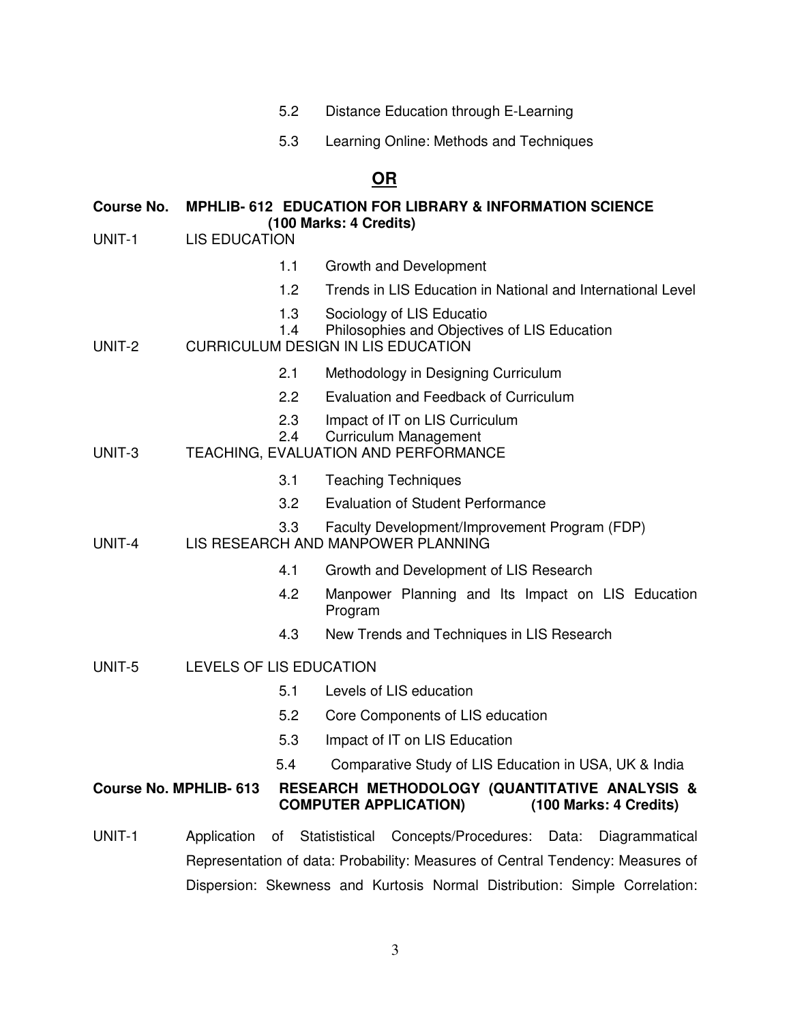- 5.2 Distance Education through E-Learning
- 5.3 Learning Online: Methods and Techniques

# **OR**

#### **Course No. MPHLIB- 612 EDUCATION FOR LIBRARY & INFORMATION SCIENCE (100 Marks: 4 Credits)**

- UNIT-1 LIS EDUCATION
	- 1.1 Growth and Development
	- 1.2 Trends in LIS Education in National and International Level
	- 1.3 Sociology of LIS Educatio
	- 1.4 Philosophies and Objectives of LIS Education

## UNIT-2 CURRICULUM DESIGN IN LIS EDUCATION

- 2.1 Methodology in Designing Curriculum
- 2.2 Evaluation and Feedback of Curriculum
- 2.3 Impact of IT on LIS Curriculum
- 2.4 Curriculum Management
- UNIT-3 TEACHING, EVALUATION AND PERFORMANCE
	- 3.1 Teaching Techniques
	- 3.2 Evaluation of Student Performance
	- 3.3 Faculty Development/Improvement Program (FDP)
- UNIT-4 LIS RESEARCH AND MANPOWER PLANNING
	- 4.1 Growth and Development of LIS Research
	- 4.2 Manpower Planning and Its Impact on LIS Education Program
	- 4.3 New Trends and Techniques in LIS Research
- UNIT-5 LEVELS OF LIS EDUCATION
	- 5.1 Levels of LIS education
	- 5.2 Core Components of LIS education
	- 5.3 Impact of IT on LIS Education
	- 5.4 Comparative Study of LIS Education in USA, UK & India

## **Course No. MPHLIB- 613 RESEARCH METHODOLOGY (QUANTITATIVE ANALYSIS & COMPUTER APPLICATION) (100 Marks: 4 Credits)**

UNIT-1 Application of Statististical Concepts/Procedures: Data: Diagrammatical Representation of data: Probability: Measures of Central Tendency: Measures of Dispersion: Skewness and Kurtosis Normal Distribution: Simple Correlation: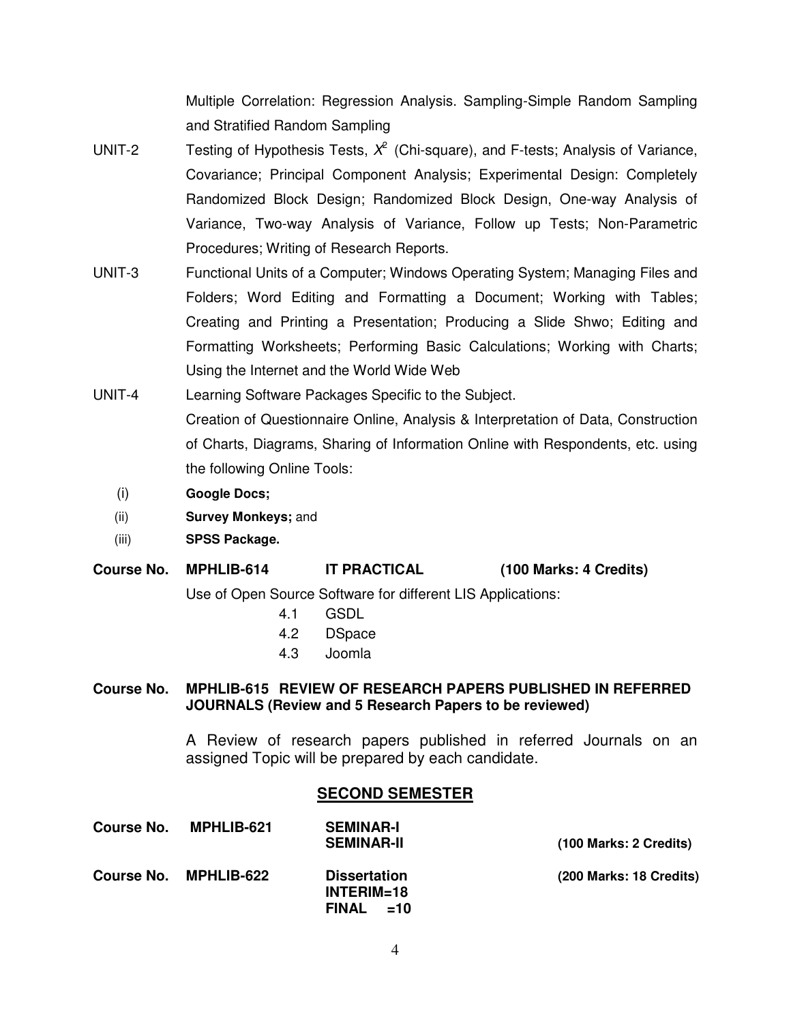Multiple Correlation: Regression Analysis. Sampling-Simple Random Sampling and Stratified Random Sampling

- UNIT-2 Testing of Hypothesis Tests,  $X^2$  (Chi-square), and F-tests; Analysis of Variance, Covariance; Principal Component Analysis; Experimental Design: Completely Randomized Block Design; Randomized Block Design, One-way Analysis of Variance, Two-way Analysis of Variance, Follow up Tests; Non-Parametric Procedures; Writing of Research Reports.
- UNIT-3 Functional Units of a Computer; Windows Operating System; Managing Files and Folders; Word Editing and Formatting a Document; Working with Tables; Creating and Printing a Presentation; Producing a Slide Shwo; Editing and Formatting Worksheets; Performing Basic Calculations; Working with Charts; Using the Internet and the World Wide Web
- UNIT-4 Learning Software Packages Specific to the Subject. Creation of Questionnaire Online, Analysis & Interpretation of Data, Construction of Charts, Diagrams, Sharing of Information Online with Respondents, etc. using the following Online Tools:
	- (i) **Google Docs;**
	- (ii) **Survey Monkeys;** and
	- (iii) **SPSS Package.**

## **Course No. MPHLIB-614 IT PRACTICAL (100 Marks: 4 Credits)**

Use of Open Source Software for different LIS Applications:

- 4.1 GSDL
- 4.2 DSpace
- 4.3 Joomla

#### **Course No. MPHLIB-615 REVIEW OF RESEARCH PAPERS PUBLISHED IN REFERRED JOURNALS (Review and 5 Research Papers to be reviewed)**

A Review of research papers published in referred Journals on an assigned Topic will be prepared by each candidate.

## **SECOND SEMESTER**

| Course No. | <b>MPHLIB-621</b> | <b>SEMINAR-I</b><br><b>SEMINAR-II</b>                 | (100 Marks: 2 Credits)  |
|------------|-------------------|-------------------------------------------------------|-------------------------|
| Course No. | MPHLIB-622        | <b>Dissertation</b><br>$INTERIM=18$<br>FINAL<br>$=10$ | (200 Marks: 18 Credits) |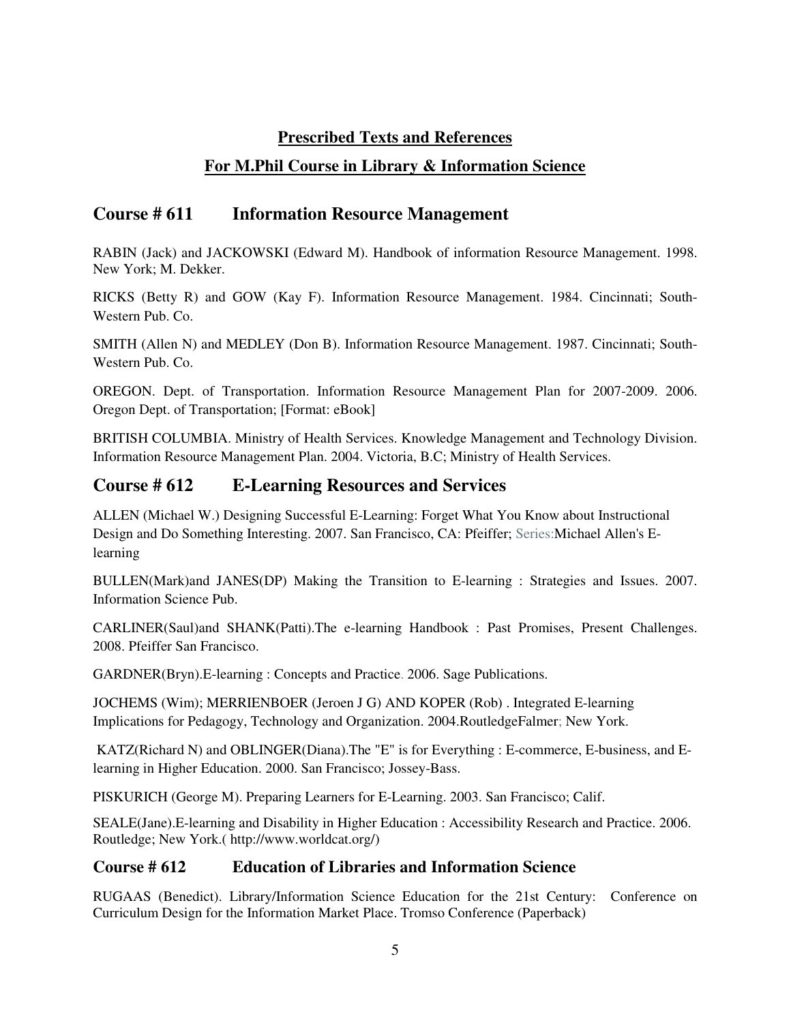## **Prescribed Texts and References**

# **For M.Phil Course in Library & Information Science**

# **Course # 611 Information Resource Management**

RABIN (Jack) and JACKOWSKI (Edward M). Handbook of information Resource Management. 1998. New York; M. Dekker.

RICKS (Betty R) and GOW (Kay F). Information Resource Management. 1984. Cincinnati; South-Western Pub. Co.

SMITH (Allen N) and MEDLEY (Don B). Information Resource Management. 1987. Cincinnati; South-Western Pub. Co.

OREGON. Dept. of Transportation. Information Resource Management Plan for 2007-2009. 2006. Oregon Dept. of Transportation; [Format: eBook]

BRITISH COLUMBIA. Ministry of Health Services. Knowledge Management and Technology Division. Information Resource Management Plan. 2004. Victoria, B.C; Ministry of Health Services.

# **Course # 612 E-Learning Resources and Services**

ALLEN (Michael W.) Designing Successful E-Learning: Forget What You Know about Instructional Design and Do Something Interesting. 2007. San Francisco, CA: Pfeiffer; Series:Michael Allen's Elearning

BULLEN(Mark)and JANES(DP) Making the Transition to E-learning : Strategies and Issues. 2007. Information Science Pub.

CARLINER(Saul)and SHANK(Patti).The e-learning Handbook : Past Promises, Present Challenges. 2008. Pfeiffer San Francisco.

GARDNER(Bryn).E-learning : Concepts and Practice. 2006. Sage Publications.

JOCHEMS (Wim); MERRIENBOER (Jeroen J G) AND KOPER (Rob) . Integrated E-learning Implications for Pedagogy, Technology and Organization. 2004.RoutledgeFalmer; New York.

 KATZ(Richard N) and OBLINGER(Diana).The "E" is for Everything : E-commerce, E-business, and Elearning in Higher Education. 2000. San Francisco; Jossey-Bass.

PISKURICH (George M). Preparing Learners for E-Learning. 2003. San Francisco; Calif.

SEALE(Jane).E-learning and Disability in Higher Education : Accessibility Research and Practice. 2006. Routledge; New York.( http://www.worldcat.org/)

# **Course # 612 Education of Libraries and Information Science**

RUGAAS (Benedict). Library/Information Science Education for the 21st Century: Conference on Curriculum Design for the Information Market Place. Tromso Conference (Paperback)